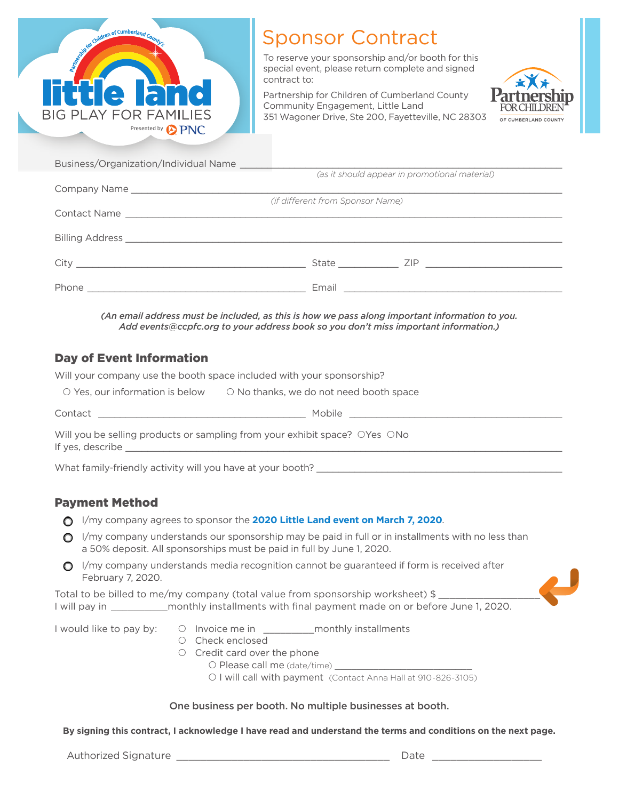

## Sponsor Contract

To reserve your sponsorship and/or booth for this special event, please return complete and signed contract to:

Partnership for Children of Cumberland County Community Engagement, Little Land 351 Wagoner Drive, Ste 200, Fayetteville, NC 28303



| Business/Organization/Individual Name |                                  |                                               |
|---------------------------------------|----------------------------------|-----------------------------------------------|
|                                       |                                  | (as it should appear in promotional material) |
|                                       |                                  |                                               |
|                                       | (if different from Sponsor Name) |                                               |
|                                       |                                  |                                               |
|                                       |                                  |                                               |
|                                       |                                  | State ZIP                                     |
|                                       |                                  |                                               |

*(An email address must be included, as this is how we pass along important information to you. Add events@ccpfc.org to your address book so you don't miss important information.)*

## Day of Event Information

Will your company use the booth space included with your sponsorship?

| $\circ$ Yes, our information is below | $\circ$ No thanks, we do not need booth space |
|---------------------------------------|-----------------------------------------------|
|                                       |                                               |

Contact Letter and the contract of the contract of the contract of the contract of the contract of the contract of the contract of the contract of the contract of the contract of the contract of the contract of the contrac

Will you be selling products or sampling from your exhibit space? OYes ONo If yes, describe

What family-friendly activity will you have at your booth? \_\_\_\_\_

## Payment Method

- I/my company agrees to sponsor the **2020 Little Land event on March 7, 2020**.
- $\bigcirc$  I/my company understands our sponsorship may be paid in full or in installments with no less than a 50% deposit. All sponsorships must be paid in full by June 1, 2020.
- $\bigcirc$  I/my company understands media recognition cannot be guaranteed if form is received after February 7, 2020.

Total to be billed to me/my company (total value from sponsorship worksheet)  $$$ I will pay in **Example 2020** monthly installments with final payment made on or before June 1, 2020.

- I would like to pay by:  $\bigcirc$  Invoice me in  $\bigcirc$  monthly installments
	- O Check enclosed
	- O Credit card over the phone
		- Please call me (date/time) \_\_\_\_\_\_\_\_\_\_\_\_\_\_\_\_\_\_\_\_\_\_\_\_\_
			- O I will call with payment (Contact Anna Hall at 910-826-3105)

## One business per booth. No multiple businesses at booth.

**By signing this contract, I acknowledge I have read and understand the terms and conditions on the next page.** 

Authorized Signature \_\_\_\_\_\_\_\_\_\_\_\_\_\_\_\_\_\_\_\_\_\_\_\_\_\_\_\_\_\_\_\_\_\_\_ Date \_\_\_\_\_\_\_\_\_\_\_\_\_\_\_\_\_\_